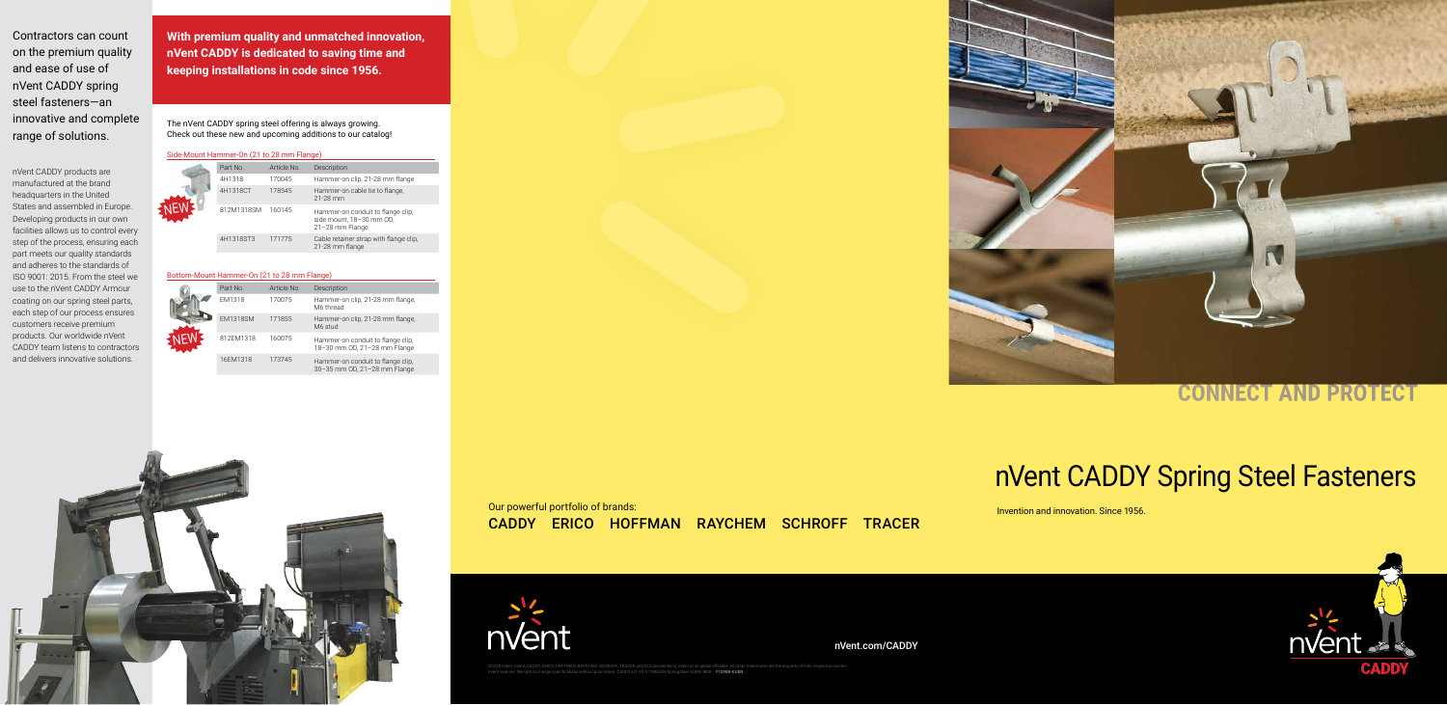**With premium quality and unmatched innovation, nVent CADDY is dedicated to saving time and keeping installations in code since 1956.**

Contractors can count on the premium quality and ease of use of nVent CADDY spring steel fasteners—an innovative and complete range of solutions.

nVent CADDY products are manufactured at the brand headquarters in the United States and assembled in Europe. Developing products in our own facilities allows us to control every step of the process, ensuring each part meets our quality standards and adheres to the standards of ISO 9001: 2015. From the steel we use to the nVent CADDY Armour coating on our spring steel parts, each step of our process ensures customers receive premium products. Our worldwide nVent CADDY team listens to contractors and delivers innovative solutions.

The nVent CADDY spring steel offering is always growing. Check out these new and upcoming additions to our catalog!

> ©2018 nVent. nVent, CADDY, ERICO, HOFFMAN, RAYCHEM, SCHROFF, TRACER and STS are owned by nVent or its global affiliates. All other trademarks are the property of their respective owners. nVent reserves the right to change specifications without prior notice. CADDY-LIT-F57LT18EUEN-SpringSteel-EUEN-1808 | **F1298B-EUEN**



## **CONNECT AND PROTECT**

|  | Part No.   | Article No. | Description                                                                      |
|--|------------|-------------|----------------------------------------------------------------------------------|
|  | 4H1318     | 170045      | Hammer-on clip, 21-28 mm flange                                                  |
|  | 4H1318CT   | 178545      | Hammer-on cable tie to flange.<br>21-28 mm                                       |
|  | 812M1318SM | 160145      | Hammer-on conduit to flange clip,<br>side mount, 18-30 mm OD,<br>21-28 mm Flange |
|  | 4H1318ST3  | 171775      | Cable retainer strap with flange clip,<br>21-28 mm flange                        |

|  | Part No.        | Article No. | Description                                                       |
|--|-----------------|-------------|-------------------------------------------------------------------|
|  | <b>EM1318</b>   | 170075      | Hammer-on clip, 21-28 mm flange,<br>M6 thread                     |
|  | <b>EM1318SM</b> | 171855      | Hammer-on clip, 21-28 mm flange,<br>M6 stud                       |
|  | 812FM1318       | 160075      | Hammer-on conduit to flange clip,<br>18-30 mm OD, 21-28 mm Flange |
|  | 16EM1318        | 173745      | Hammer-on conduit to flange clip,<br>30-35 mm OD, 21-28 mm Flange |



#### Bottom-Mount Hammer-On (21 to 28 mm Flange)

#### Side-Mount Hammer-On (21 to 28 mm Flange)

## CADDY ERICO HOFFMAN RAYCHEM SCHROFF TRACER Our powerful portfolio of brands:



# nVent CADDY Spring Steel Fasteners

Invention and innovation. Since 1956.



nVent.com/CADDY